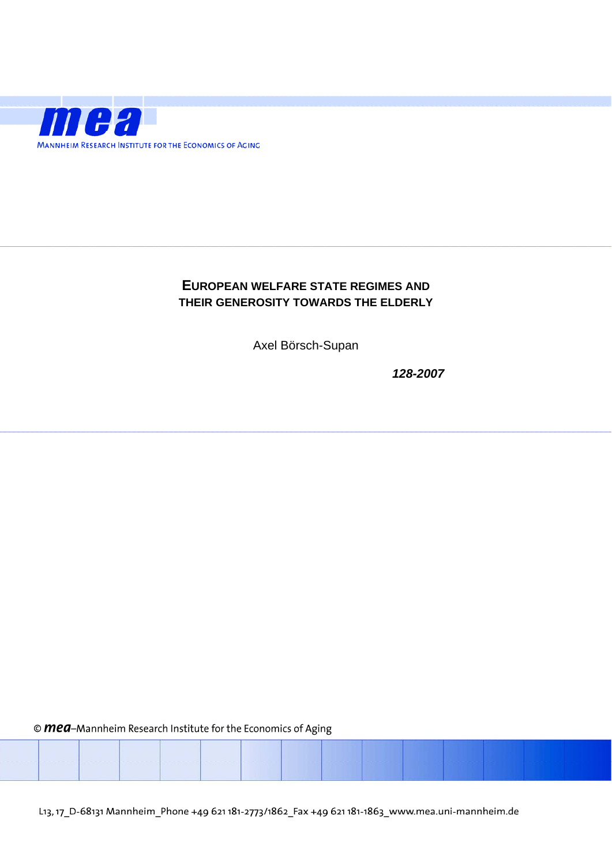

### **EUROPEAN WELFARE STATE REGIMES AND THEIR GENEROSITY TOWARDS THE ELDERLY**

Axel Börsch-Supan

*128-2007* 

© mea-Mannheim Research Institute for the Economics of Aging

L13, 17\_D-68131 Mannheim\_Phone +49 621 181-2773/1862\_Fax +49 621 181-1863\_www.mea.uni-mannheim.de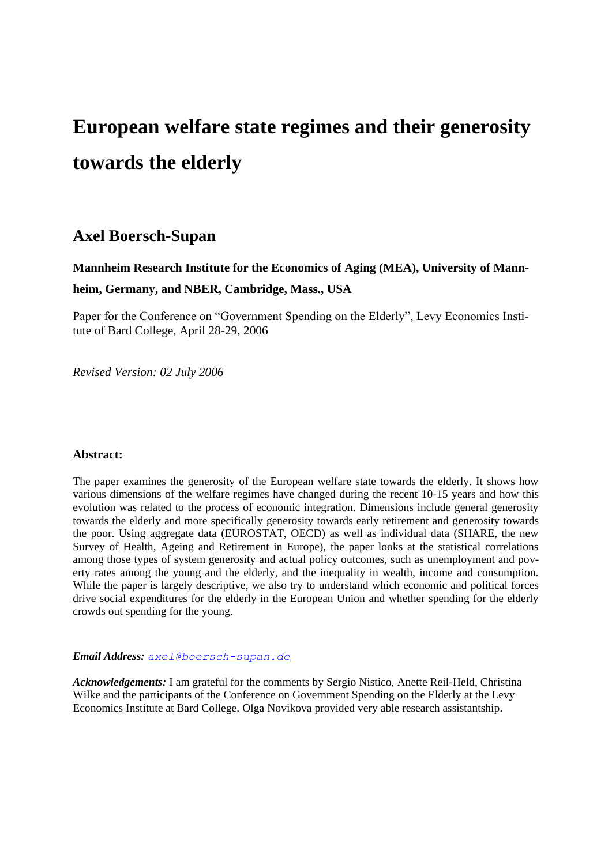# **European welfare state regimes and their generosity towards the elderly**

### **Axel Boersch-Supan**

## **Mannheim Research Institute for the Economics of Aging (MEA), University of Mannheim, Germany, and NBER, Cambridge, Mass., USA**

Paper for the Conference on "Government Spending on the Elderly", Levy Economics Institute of Bard College, April 28-29, 2006

*Revised Version: 02 July 2006*

#### **Abstract:**

The paper examines the generosity of the European welfare state towards the elderly. It shows how various dimensions of the welfare regimes have changed during the recent 10-15 years and how this evolution was related to the process of economic integration. Dimensions include general generosity towards the elderly and more specifically generosity towards early retirement and generosity towards the poor. Using aggregate data (EUROSTAT, OECD) as well as individual data (SHARE, the new Survey of Health, Ageing and Retirement in Europe), the paper looks at the statistical correlations among those types of system generosity and actual policy outcomes, such as unemployment and poverty rates among the young and the elderly, and the inequality in wealth, income and consumption. While the paper is largely descriptive, we also try to understand which economic and political forces drive social expenditures for the elderly in the European Union and whether spending for the elderly crowds out spending for the young.

*Email Address: [axel@boersch-supan.de](mailto:axel@boersch-supan.de)*

*Acknowledgements:* I am grateful for the comments by Sergio Nistico, Anette Reil-Held, Christina Wilke and the participants of the Conference on Government Spending on the Elderly at the Levy Economics Institute at Bard College. Olga Novikova provided very able research assistantship.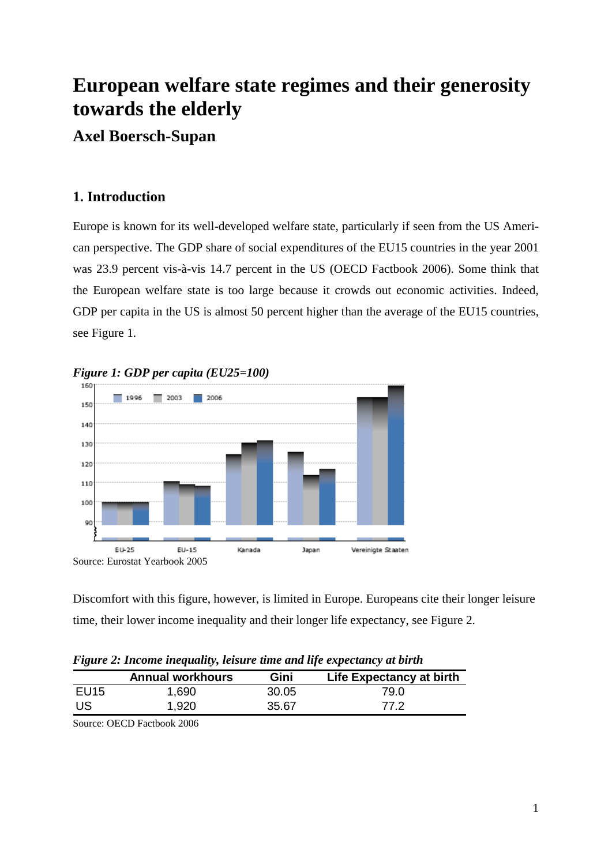# **European welfare state regimes and their generosity towards the elderly**

## **Axel Boersch-Supan**

## **1. Introduction**

Europe is known for its well-developed welfare state, particularly if seen from the US American perspective. The GDP share of social expenditures of the EU15 countries in the year 2001 was 23.9 percent vis-à-vis 14.7 percent in the US (OECD Factbook 2006). Some think that the European welfare state is too large because it crowds out economic activities. Indeed, GDP per capita in the US is almost 50 percent higher than the average of the EU15 countries, see Figure 1.



*Figure 1: GDP per capita (EU25=100)*

Discomfort with this figure, however, is limited in Europe. Europeans cite their longer leisure time, their lower income inequality and their longer life expectancy, see Figure 2.

*Figure 2: Income inequality, leisure time and life expectancy at birth*

|                  | <b>Annual workhours</b> | Gini  | Life Expectancy at birth |
|------------------|-------------------------|-------|--------------------------|
| EU <sub>15</sub> | 1,690                   | 30.05 | 79.0                     |
| US.              | 1,920                   | 35.67 | 77 2                     |

Source: OECD Factbook 2006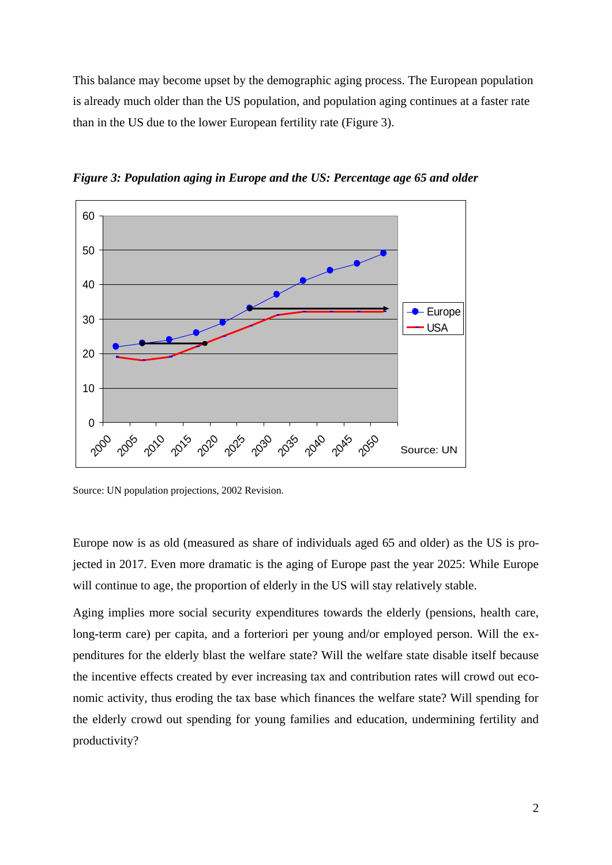This balance may become upset by the demographic aging process. The European population is already much older than the US population, and population aging continues at a faster rate than in the US due to the lower European fertility rate (Figure 3).



*Figure 3: Population aging in Europe and the US: Percentage age 65 and older*

Source: UN population projections, 2002 Revision.

Europe now is as old (measured as share of individuals aged 65 and older) as the US is projected in 2017. Even more dramatic is the aging of Europe past the year 2025: While Europe will continue to age, the proportion of elderly in the US will stay relatively stable.

Aging implies more social security expenditures towards the elderly (pensions, health care, long-term care) per capita, and a forteriori per young and/or employed person. Will the expenditures for the elderly blast the welfare state? Will the welfare state disable itself because the incentive effects created by ever increasing tax and contribution rates will crowd out economic activity, thus eroding the tax base which finances the welfare state? Will spending for the elderly crowd out spending for young families and education, undermining fertility and productivity?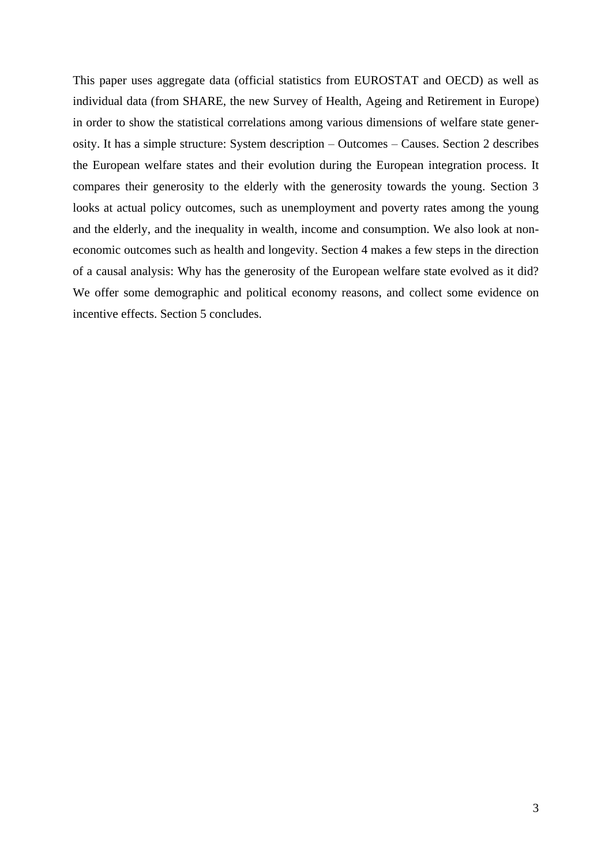This paper uses aggregate data (official statistics from EUROSTAT and OECD) as well as individual data (from SHARE, the new Survey of Health, Ageing and Retirement in Europe) in order to show the statistical correlations among various dimensions of welfare state generosity. It has a simple structure: System description – Outcomes – Causes. Section 2 describes the European welfare states and their evolution during the European integration process. It compares their generosity to the elderly with the generosity towards the young. Section 3 looks at actual policy outcomes, such as unemployment and poverty rates among the young and the elderly, and the inequality in wealth, income and consumption. We also look at noneconomic outcomes such as health and longevity. Section 4 makes a few steps in the direction of a causal analysis: Why has the generosity of the European welfare state evolved as it did? We offer some demographic and political economy reasons, and collect some evidence on incentive effects. Section 5 concludes.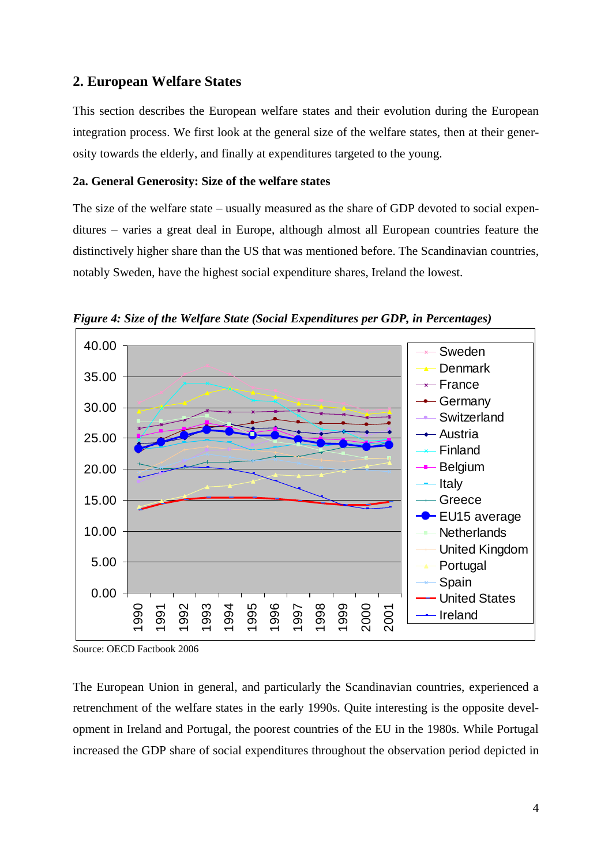#### **2. European Welfare States**

This section describes the European welfare states and their evolution during the European integration process. We first look at the general size of the welfare states, then at their generosity towards the elderly, and finally at expenditures targeted to the young.

#### **2a. General Generosity: Size of the welfare states**

The size of the welfare state – usually measured as the share of GDP devoted to social expenditures – varies a great deal in Europe, although almost all European countries feature the distinctively higher share than the US that was mentioned before. The Scandinavian countries, notably Sweden, have the highest social expenditure shares, Ireland the lowest.



*Figure 4: Size of the Welfare State (Social Expenditures per GDP, in Percentages)*

The European Union in general, and particularly the Scandinavian countries, experienced a retrenchment of the welfare states in the early 1990s. Quite interesting is the opposite development in Ireland and Portugal, the poorest countries of the EU in the 1980s. While Portugal increased the GDP share of social expenditures throughout the observation period depicted in

Source: OECD Factbook 2006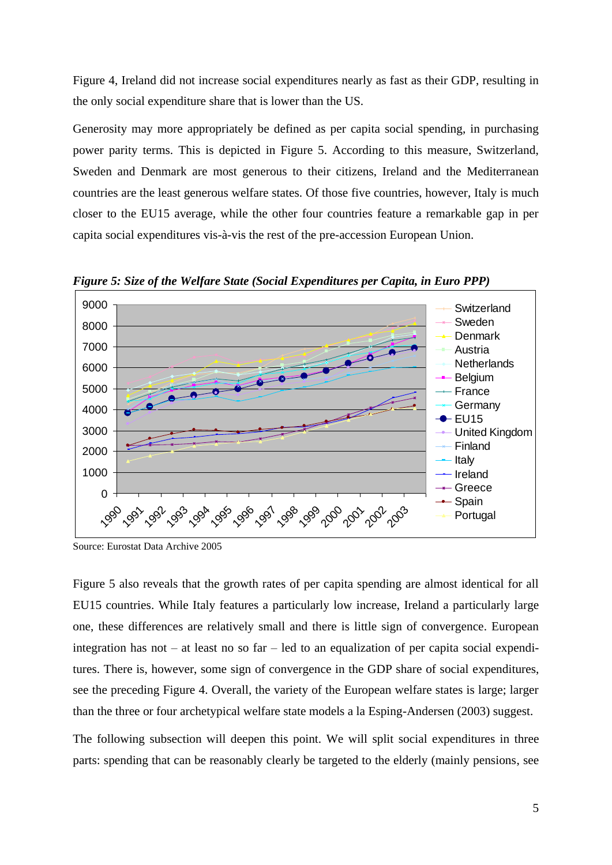Figure 4, Ireland did not increase social expenditures nearly as fast as their GDP, resulting in the only social expenditure share that is lower than the US.

Generosity may more appropriately be defined as per capita social spending, in purchasing power parity terms. This is depicted in Figure 5. According to this measure, Switzerland, Sweden and Denmark are most generous to their citizens, Ireland and the Mediterranean countries are the least generous welfare states. Of those five countries, however, Italy is much closer to the EU15 average, while the other four countries feature a remarkable gap in per capita social expenditures vis-à-vis the rest of the pre-accession European Union.



*Figure 5: Size of the Welfare State (Social Expenditures per Capita, in Euro PPP)*

Source: Eurostat Data Archive 2005

Figure 5 also reveals that the growth rates of per capita spending are almost identical for all EU15 countries. While Italy features a particularly low increase, Ireland a particularly large one, these differences are relatively small and there is little sign of convergence. European integration has not – at least no so far – led to an equalization of per capita social expenditures. There is, however, some sign of convergence in the GDP share of social expenditures, see the preceding Figure 4. Overall, the variety of the European welfare states is large; larger than the three or four archetypical welfare state models a la Esping-Andersen (2003) suggest.

The following subsection will deepen this point. We will split social expenditures in three parts: spending that can be reasonably clearly be targeted to the elderly (mainly pensions, see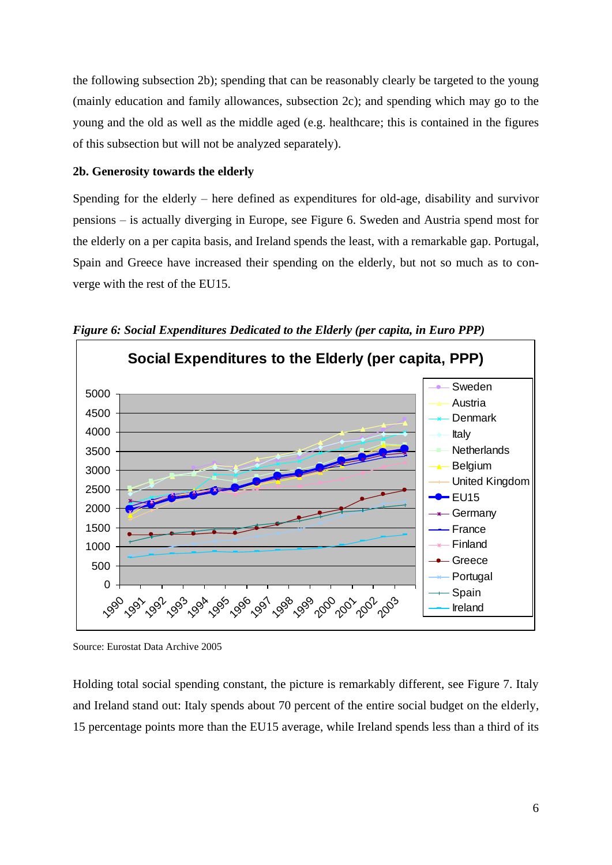the following subsection 2b); spending that can be reasonably clearly be targeted to the young (mainly education and family allowances, subsection 2c); and spending which may go to the young and the old as well as the middle aged (e.g. healthcare; this is contained in the figures of this subsection but will not be analyzed separately).

#### **2b. Generosity towards the elderly**

Spending for the elderly – here defined as expenditures for old-age, disability and survivor pensions – is actually diverging in Europe, see Figure 6. Sweden and Austria spend most for the elderly on a per capita basis, and Ireland spends the least, with a remarkable gap. Portugal, Spain and Greece have increased their spending on the elderly, but not so much as to converge with the rest of the EU15.



*Figure 6: Social Expenditures Dedicated to the Elderly (per capita, in Euro PPP)*

Holding total social spending constant, the picture is remarkably different, see Figure 7. Italy and Ireland stand out: Italy spends about 70 percent of the entire social budget on the elderly, 15 percentage points more than the EU15 average, while Ireland spends less than a third of its

Source: Eurostat Data Archive 2005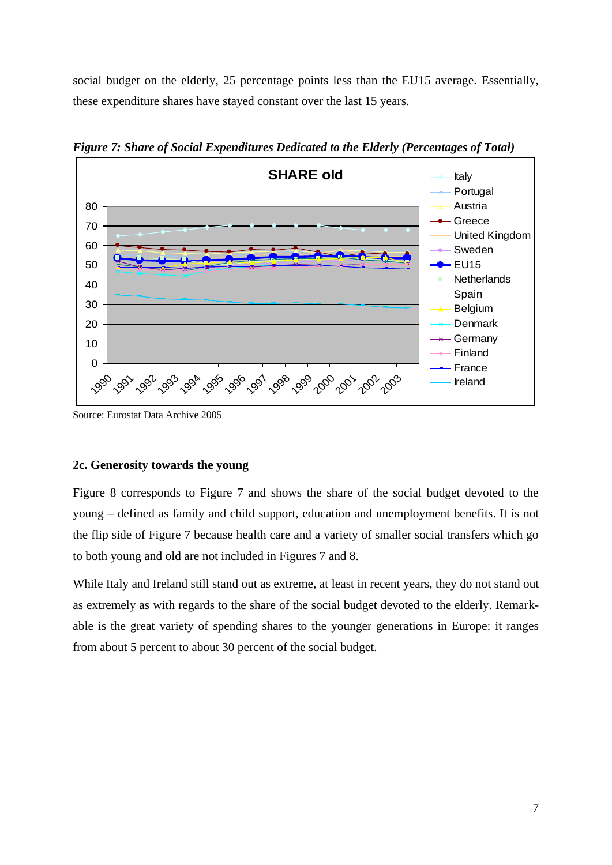social budget on the elderly, 25 percentage points less than the EU15 average. Essentially, these expenditure shares have stayed constant over the last 15 years.



*Figure 7: Share of Social Expenditures Dedicated to the Elderly (Percentages of Total)*

Source: Eurostat Data Archive 2005

#### **2c. Generosity towards the young**

Figure 8 corresponds to Figure 7 and shows the share of the social budget devoted to the young – defined as family and child support, education and unemployment benefits. It is not the flip side of Figure 7 because health care and a variety of smaller social transfers which go to both young and old are not included in Figures 7 and 8.

While Italy and Ireland still stand out as extreme, at least in recent years, they do not stand out as extremely as with regards to the share of the social budget devoted to the elderly. Remarkable is the great variety of spending shares to the younger generations in Europe: it ranges from about 5 percent to about 30 percent of the social budget.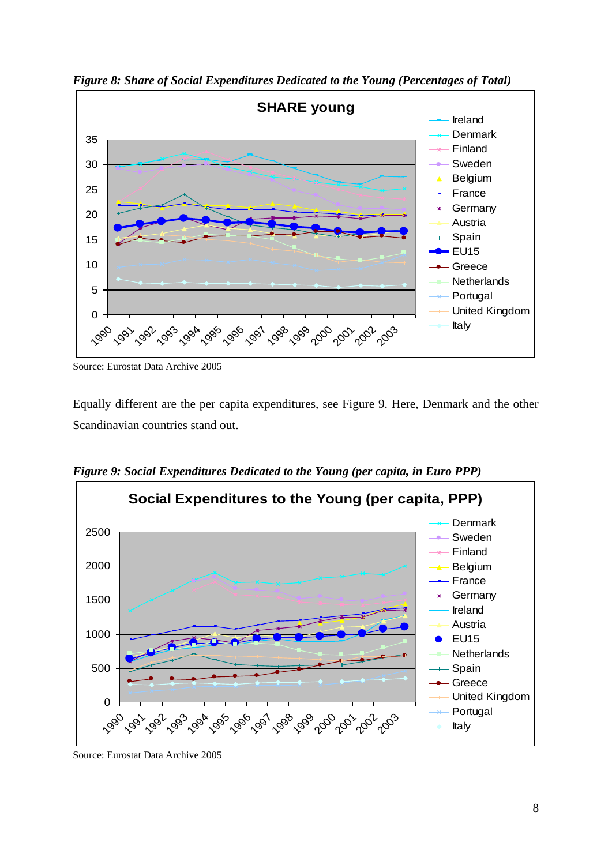

*Figure 8: Share of Social Expenditures Dedicated to the Young (Percentages of Total)* 

Source: Eurostat Data Archive 2005

Equally different are the per capita expenditures, see Figure 9. Here, Denmark and the other Scandinavian countries stand out.

*Figure 9: Social Expenditures Dedicated to the Young (per capita, in Euro PPP)*



Source: Eurostat Data Archive 2005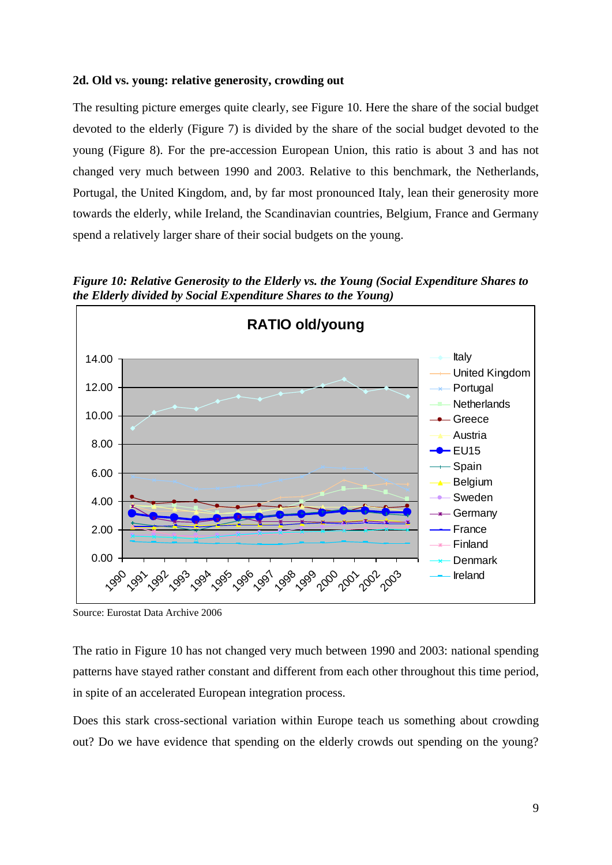#### **2d. Old vs. young: relative generosity, crowding out**

The resulting picture emerges quite clearly, see Figure 10. Here the share of the social budget devoted to the elderly (Figure 7) is divided by the share of the social budget devoted to the young (Figure 8). For the pre-accession European Union, this ratio is about 3 and has not changed very much between 1990 and 2003. Relative to this benchmark, the Netherlands, Portugal, the United Kingdom, and, by far most pronounced Italy, lean their generosity more towards the elderly, while Ireland, the Scandinavian countries, Belgium, France and Germany spend a relatively larger share of their social budgets on the young.

*Figure 10: Relative Generosity to the Elderly vs. the Young (Social Expenditure Shares to the Elderly divided by Social Expenditure Shares to the Young)*



Source: Eurostat Data Archive 2006

The ratio in Figure 10 has not changed very much between 1990 and 2003: national spending patterns have stayed rather constant and different from each other throughout this time period, in spite of an accelerated European integration process.

Does this stark cross-sectional variation within Europe teach us something about crowding out? Do we have evidence that spending on the elderly crowds out spending on the young?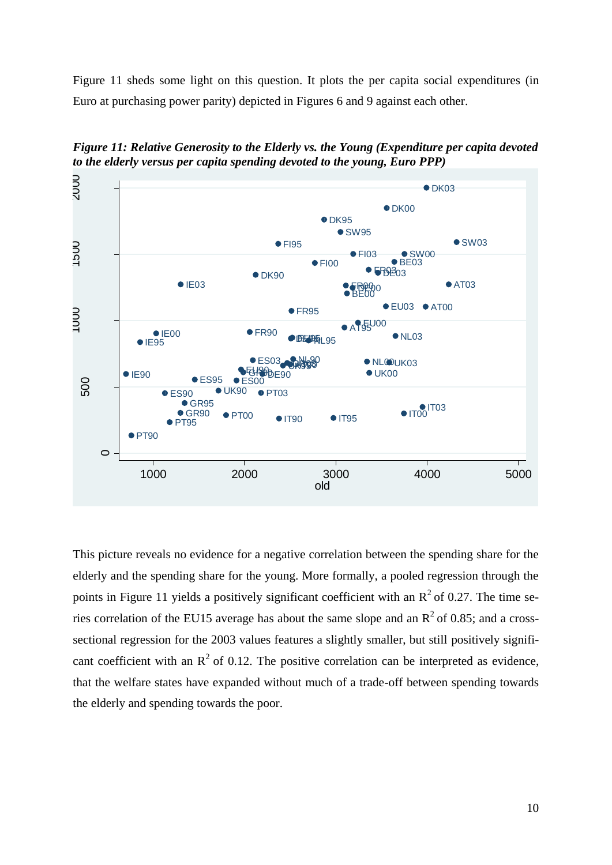Figure 11 sheds some light on this question. It plots the per capita social expenditures (in Euro at purchasing power parity) depicted in Figures 6 and 9 against each other.



*Figure 11: Relative Generosity to the Elderly vs. the Young (Expenditure per capita devoted to the elderly versus per capita spending devoted to the young, Euro PPP)*

This picture reveals no evidence for a negative correlation between the spending share for the elderly and the spending share for the young. More formally, a pooled regression through the points in Figure 11 yields a positively significant coefficient with an  $R^2$  of 0.27. The time series correlation of the EU15 average has about the same slope and an  $R^2$  of 0.85; and a crosssectional regression for the 2003 values features a slightly smaller, but still positively significant coefficient with an  $\mathbb{R}^2$  of 0.12. The positive correlation can be interpreted as evidence, that the welfare states have expanded without much of a trade-off between spending towards the elderly and spending towards the poor.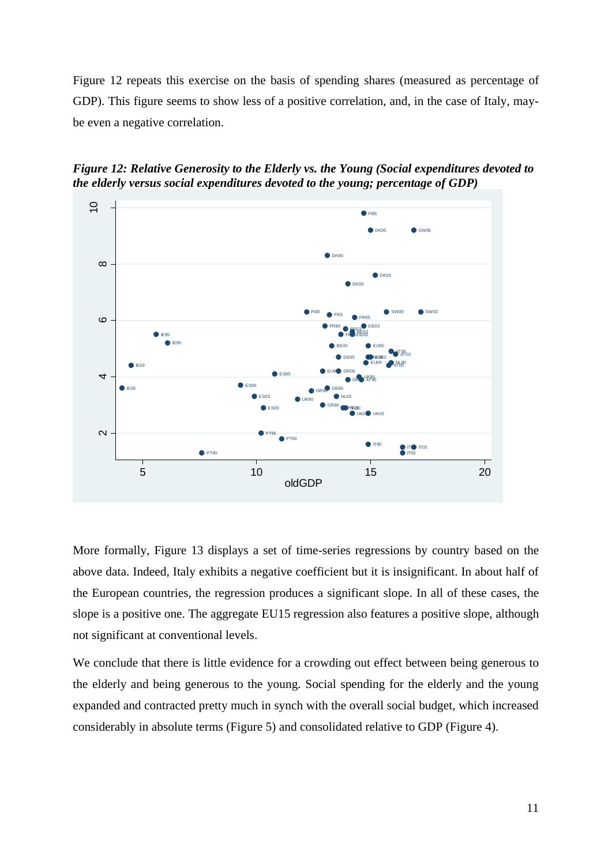Figure 12 repeats this exercise on the basis of spending shares (measured as percentage of GDP). This figure seems to show less of a positive correlation, and, in the case of Italy, maybe even a negative correlation.



*Figure 12: Relative Generosity to the Elderly vs. the Young (Social expenditures devoted to the elderly versus social expenditures devoted to the young; percentage of GDP)*

More formally, Figure 13 displays a set of time-series regressions by country based on the above data. Indeed, Italy exhibits a negative coefficient but it is insignificant. In about half of the European countries, the regression produces a significant slope. In all of these cases, the slope is a positive one. The aggregate EU15 regression also features a positive slope, although not significant at conventional levels.

We conclude that there is little evidence for a crowding out effect between being generous to the elderly and being generous to the young. Social spending for the elderly and the young expanded and contracted pretty much in synch with the overall social budget, which increased considerably in absolute terms (Figure 5) and consolidated relative to GDP (Figure 4).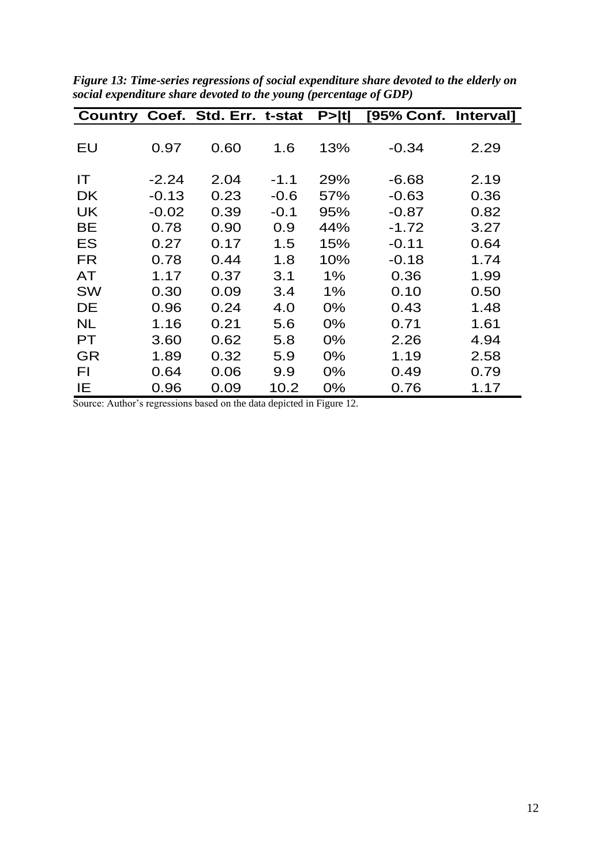|           |         | Country Coef. Std. Err. t-stat |        | P>  t | [95% Conf. Interval] |      |
|-----------|---------|--------------------------------|--------|-------|----------------------|------|
|           |         |                                |        |       |                      |      |
| EU        | 0.97    | 0.60                           | 1.6    | 13%   | $-0.34$              | 2.29 |
| IT        | $-2.24$ | 2.04                           | $-1.1$ | 29%   | $-6.68$              | 2.19 |
| <b>DK</b> | $-0.13$ | 0.23                           | $-0.6$ | 57%   | $-0.63$              | 0.36 |
| <b>UK</b> | $-0.02$ | 0.39                           | $-0.1$ | 95%   | $-0.87$              | 0.82 |
| <b>BE</b> | 0.78    | 0.90                           | 0.9    | 44%   | $-1.72$              | 3.27 |
| ES        | 0.27    | 0.17                           | 1.5    | 15%   | $-0.11$              | 0.64 |
| <b>FR</b> | 0.78    | 0.44                           | 1.8    | 10%   | $-0.18$              | 1.74 |
| <b>AT</b> | 1.17    | 0.37                           | 3.1    | $1\%$ | 0.36                 | 1.99 |
| <b>SW</b> | 0.30    | 0.09                           | 3.4    | $1\%$ | 0.10                 | 0.50 |
| DE        | 0.96    | 0.24                           | 4.0    | 0%    | 0.43                 | 1.48 |
| <b>NL</b> | 1.16    | 0.21                           | 5.6    | 0%    | 0.71                 | 1.61 |
| <b>PT</b> | 3.60    | 0.62                           | 5.8    | 0%    | 2.26                 | 4.94 |
| GR        | 1.89    | 0.32                           | 5.9    | 0%    | 1.19                 | 2.58 |
| FΙ        | 0.64    | 0.06                           | 9.9    | 0%    | 0.49                 | 0.79 |
| ΙE        | 0.96    | 0.09                           | 10.2   | 0%    | 0.76                 | 1.17 |

*Figure 13: Time-series regressions of social expenditure share devoted to the elderly on social expenditure share devoted to the young (percentage of GDP)*

Source: Author's regressions based on the data depicted in Figure 12.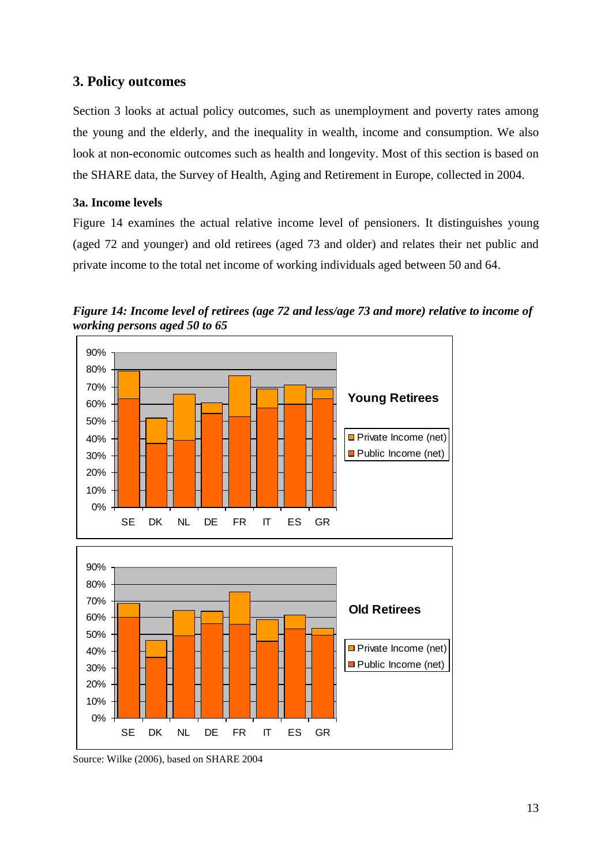#### **3. Policy outcomes**

Section 3 looks at actual policy outcomes, such as unemployment and poverty rates among the young and the elderly, and the inequality in wealth, income and consumption. We also look at non-economic outcomes such as health and longevity. Most of this section is based on the SHARE data, the Survey of Health, Aging and Retirement in Europe, collected in 2004.

#### **3a. Income levels**

Figure 14 examines the actual relative income level of pensioners. It distinguishes young (aged 72 and younger) and old retirees (aged 73 and older) and relates their net public and private income to the total net income of working individuals aged between 50 and 64.



*Figure 14: Income level of retirees (age 72 and less/age 73 and more) relative to income of working persons aged 50 to 65*

Source: Wilke (2006), based on SHARE 2004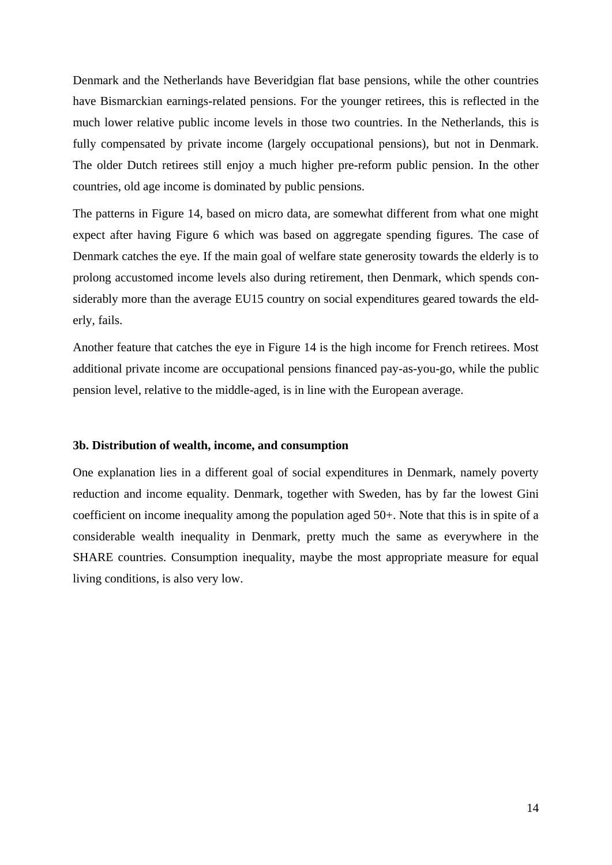Denmark and the Netherlands have Beveridgian flat base pensions, while the other countries have Bismarckian earnings-related pensions. For the younger retirees, this is reflected in the much lower relative public income levels in those two countries. In the Netherlands, this is fully compensated by private income (largely occupational pensions), but not in Denmark. The older Dutch retirees still enjoy a much higher pre-reform public pension. In the other countries, old age income is dominated by public pensions.

The patterns in Figure 14, based on micro data, are somewhat different from what one might expect after having Figure 6 which was based on aggregate spending figures. The case of Denmark catches the eye. If the main goal of welfare state generosity towards the elderly is to prolong accustomed income levels also during retirement, then Denmark, which spends considerably more than the average EU15 country on social expenditures geared towards the elderly, fails.

Another feature that catches the eye in Figure 14 is the high income for French retirees. Most additional private income are occupational pensions financed pay-as-you-go, while the public pension level, relative to the middle-aged, is in line with the European average.

#### **3b. Distribution of wealth, income, and consumption**

One explanation lies in a different goal of social expenditures in Denmark, namely poverty reduction and income equality. Denmark, together with Sweden, has by far the lowest Gini coefficient on income inequality among the population aged 50+. Note that this is in spite of a considerable wealth inequality in Denmark, pretty much the same as everywhere in the SHARE countries. Consumption inequality, maybe the most appropriate measure for equal living conditions, is also very low.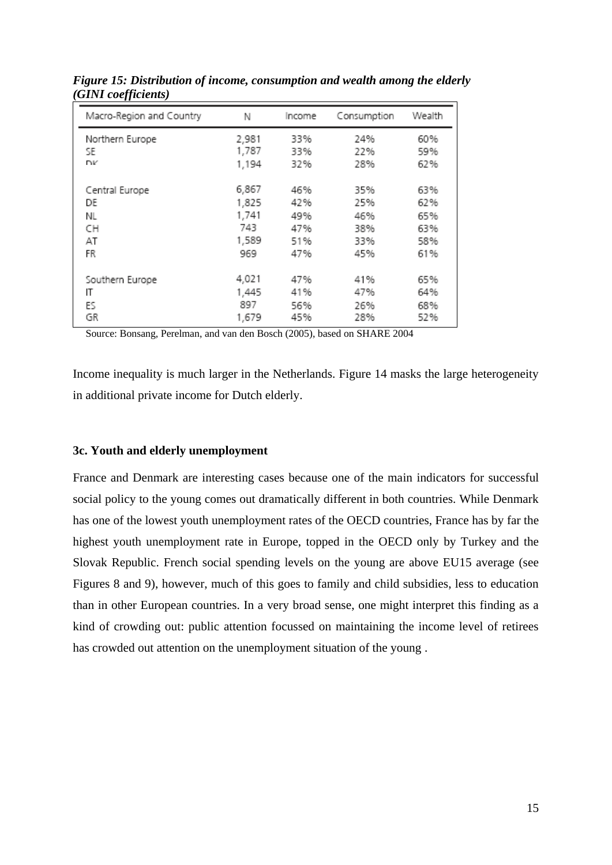| Macro-Region and Country | Ν     | Income | Consumption | Wealth |
|--------------------------|-------|--------|-------------|--------|
| Northern Europe          | 2,981 | 33%    | 24%         | 60%    |
| SE                       | 1,787 | 33%    | 22%         | 59%    |
| <b>DV</b>                | 1,194 | 32%    | 28%         | 62%    |
| Central Europe           | 6,867 | 46%    | 35%         | 63%    |
| DE                       | 1,825 | 42%    | 25%         | 62%    |
| NL                       | 1,741 | 49%    | 46%         | 65%    |
| CН                       | 743   | 47%    | 38%         | 63%    |
| AT                       | 1,589 | 51%    | 33%         | 58%    |
| FR                       | 969   | 47%    | 45%         | 61%    |
| Southern Europe          | 4,021 | 47%    | 41%         | 65%    |
| IT                       | 1,445 | 41%    | 47%         | 64%    |
| ES                       | 897   | 56%    | 26%         | 68%    |
| GR                       | 1,679 | 45%    | 28%         | 52%    |

*Figure 15: Distribution of income, consumption and wealth among the elderly (GINI coefficients)*

Source: Bonsang, Perelman, and van den Bosch (2005), based on SHARE 2004

Income inequality is much larger in the Netherlands. Figure 14 masks the large heterogeneity in additional private income for Dutch elderly.

#### **3c. Youth and elderly unemployment**

France and Denmark are interesting cases because one of the main indicators for successful social policy to the young comes out dramatically different in both countries. While Denmark has one of the lowest youth unemployment rates of the OECD countries, France has by far the highest youth unemployment rate in Europe, topped in the OECD only by Turkey and the Slovak Republic. French social spending levels on the young are above EU15 average (see Figures 8 and 9), however, much of this goes to family and child subsidies, less to education than in other European countries. In a very broad sense, one might interpret this finding as a kind of crowding out: public attention focussed on maintaining the income level of retirees has crowded out attention on the unemployment situation of the young .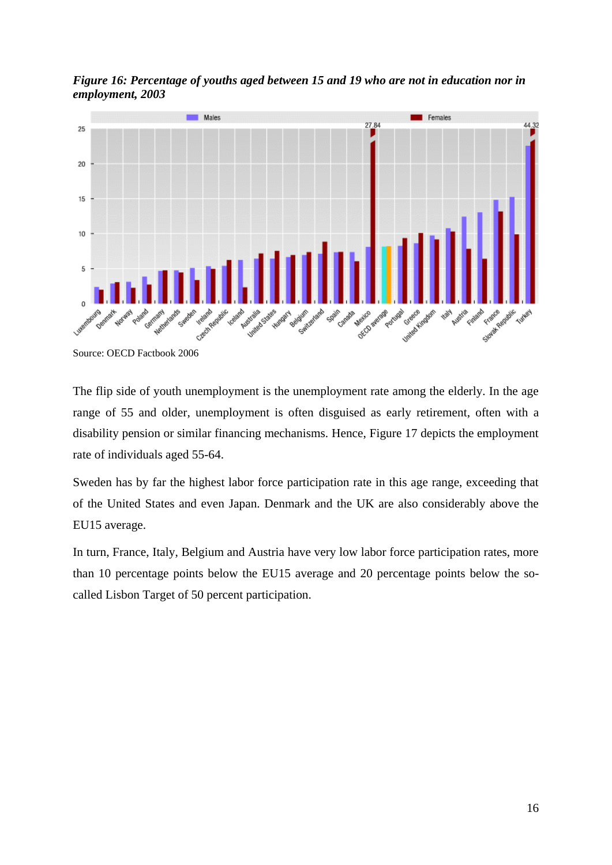

*Figure 16: Percentage of youths aged between 15 and 19 who are not in education nor in employment, 2003*

Source: OECD Factbook 2006

The flip side of youth unemployment is the unemployment rate among the elderly. In the age range of 55 and older, unemployment is often disguised as early retirement, often with a disability pension or similar financing mechanisms. Hence, Figure 17 depicts the employment rate of individuals aged 55-64.

Sweden has by far the highest labor force participation rate in this age range, exceeding that of the United States and even Japan. Denmark and the UK are also considerably above the EU15 average.

In turn, France, Italy, Belgium and Austria have very low labor force participation rates, more than 10 percentage points below the EU15 average and 20 percentage points below the socalled Lisbon Target of 50 percent participation.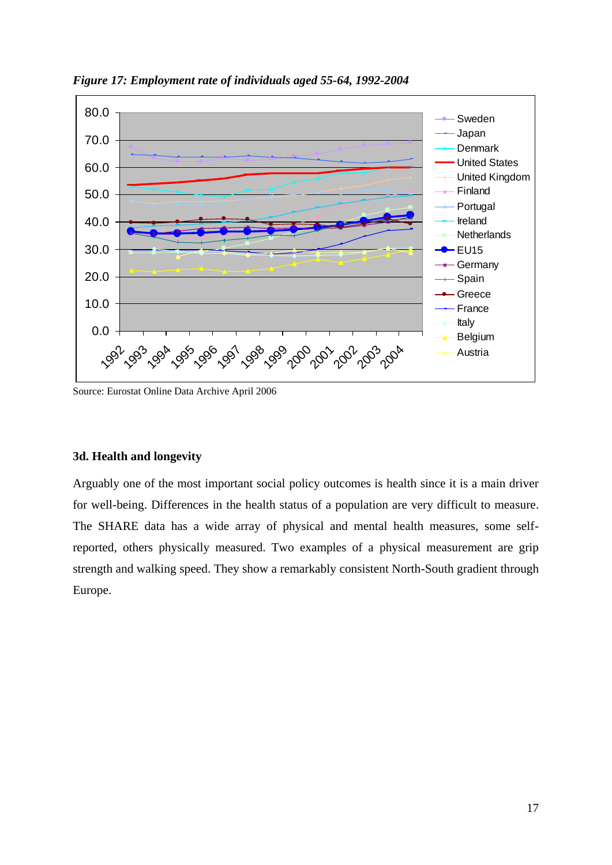

*Figure 17: Employment rate of individuals aged 55-64, 1992-2004*

Source: Eurostat Online Data Archive April 2006

#### **3d. Health and longevity**

Arguably one of the most important social policy outcomes is health since it is a main driver for well-being. Differences in the health status of a population are very difficult to measure. The SHARE data has a wide array of physical and mental health measures, some selfreported, others physically measured. Two examples of a physical measurement are grip strength and walking speed. They show a remarkably consistent North-South gradient through Europe.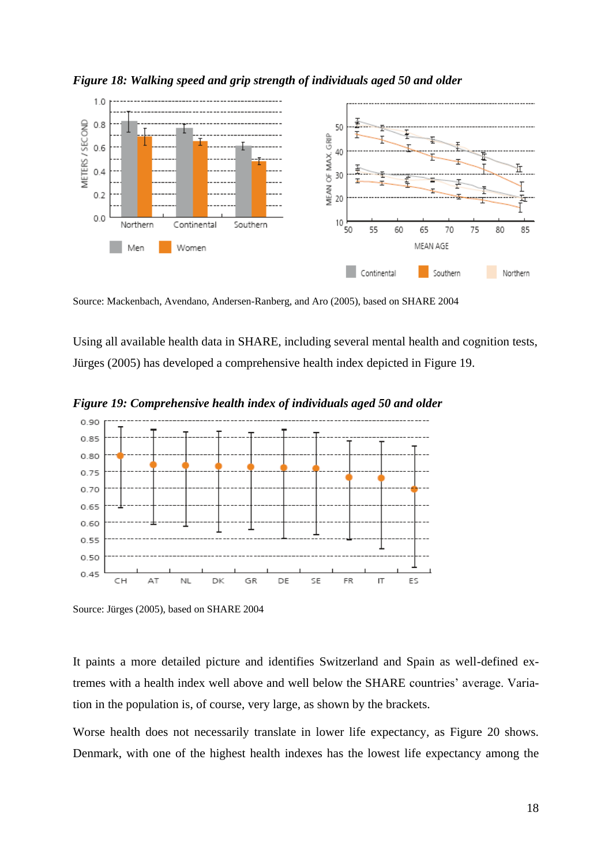

*Figure 18: Walking speed and grip strength of individuals aged 50 and older*

Source: Mackenbach, Avendano, Andersen-Ranberg, and Aro (2005), based on SHARE 2004

Using all available health data in SHARE, including several mental health and cognition tests, Jürges (2005) has developed a comprehensive health index depicted in Figure 19.



*Figure 19: Comprehensive health index of individuals aged 50 and older*

Source: Jürges (2005), based on SHARE 2004

It paints a more detailed picture and identifies Switzerland and Spain as well-defined extremes with a health index well above and well below the SHARE countries' average. Variation in the population is, of course, very large, as shown by the brackets.

Worse health does not necessarily translate in lower life expectancy, as Figure 20 shows. Denmark, with one of the highest health indexes has the lowest life expectancy among the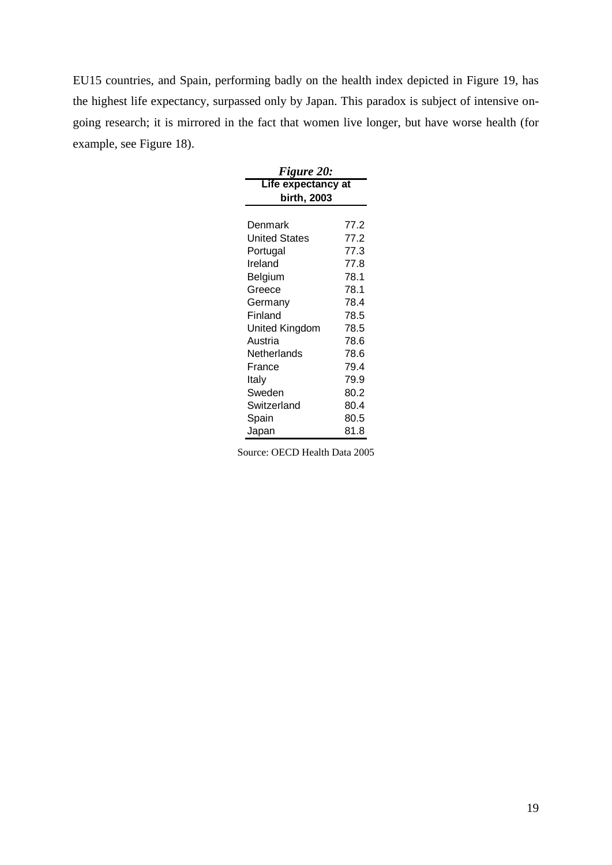EU15 countries, and Spain, performing badly on the health index depicted in Figure 19, has the highest life expectancy, surpassed only by Japan. This paradox is subject of intensive ongoing research; it is mirrored in the fact that women live longer, but have worse health (for example, see Figure 18).

| <b>Figure 20:</b>  |      |  |  |  |  |  |
|--------------------|------|--|--|--|--|--|
| Life expectancy at |      |  |  |  |  |  |
| birth, 2003        |      |  |  |  |  |  |
|                    |      |  |  |  |  |  |
| Denmark            | 77.2 |  |  |  |  |  |
| United States      | 77.2 |  |  |  |  |  |
| Portugal           | 77.3 |  |  |  |  |  |
| Ireland            | 77.8 |  |  |  |  |  |
| Belgium            | 78.1 |  |  |  |  |  |
| Greece             | 78.1 |  |  |  |  |  |
| Germany            | 78.4 |  |  |  |  |  |
| Finland            | 78.5 |  |  |  |  |  |
| United Kingdom     | 78.5 |  |  |  |  |  |
| Austria            | 78.6 |  |  |  |  |  |
| Netherlands        | 78.6 |  |  |  |  |  |
| France             | 79.4 |  |  |  |  |  |
| Italy              | 79.9 |  |  |  |  |  |
| Sweden             | 80.2 |  |  |  |  |  |
| Switzerland        | 80.4 |  |  |  |  |  |
| Spain              | 80.5 |  |  |  |  |  |
| Japan              | 81.8 |  |  |  |  |  |

Source: OECD Health Data 2005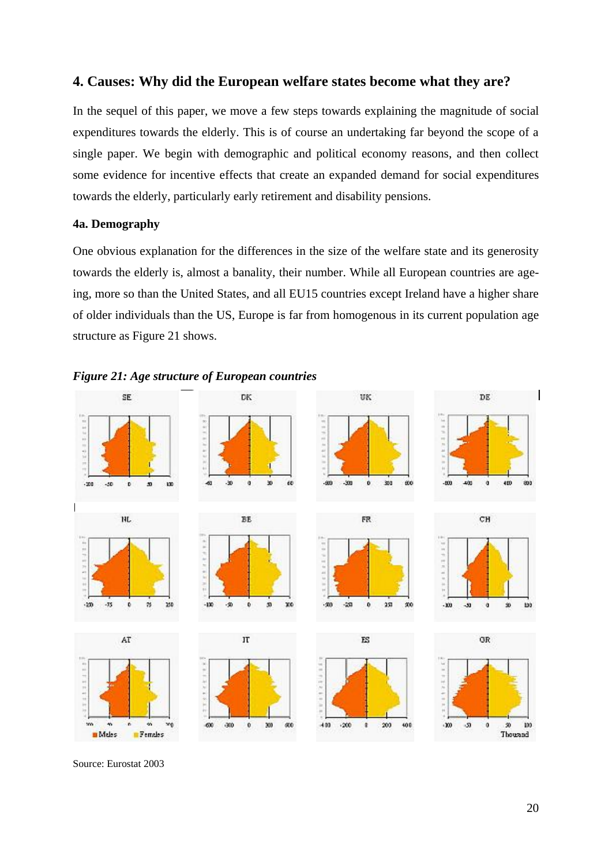#### **4. Causes: Why did the European welfare states become what they are?**

In the sequel of this paper, we move a few steps towards explaining the magnitude of social expenditures towards the elderly. This is of course an undertaking far beyond the scope of a single paper. We begin with demographic and political economy reasons, and then collect some evidence for incentive effects that create an expanded demand for social expenditures towards the elderly, particularly early retirement and disability pensions.

#### **4a. Demography**

One obvious explanation for the differences in the size of the welfare state and its generosity towards the elderly is, almost a banality, their number. While all European countries are ageing, more so than the United States, and all EU15 countries except Ireland have a higher share of older individuals than the US, Europe is far from homogenous in its current population age structure as Figure 21 shows.





Source: Eurostat 2003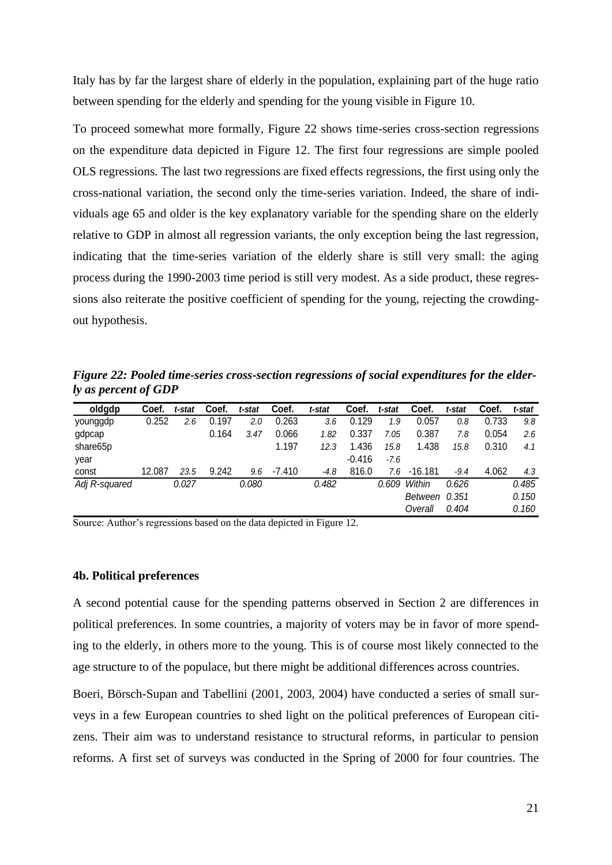Italy has by far the largest share of elderly in the population, explaining part of the huge ratio between spending for the elderly and spending for the young visible in Figure 10.

To proceed somewhat more formally, Figure 22 shows time-series cross-section regressions on the expenditure data depicted in Figure 12. The first four regressions are simple pooled OLS regressions. The last two regressions are fixed effects regressions, the first using only the cross-national variation, the second only the time-series variation. Indeed, the share of individuals age 65 and older is the key explanatory variable for the spending share on the elderly relative to GDP in almost all regression variants, the only exception being the last regression, indicating that the time-series variation of the elderly share is still very small: the aging process during the 1990-2003 time period is still very modest. As a side product, these regressions also reiterate the positive coefficient of spending for the young, rejecting the crowdingout hypothesis.

*Figure 22: Pooled time-series cross-section regressions of social expenditures for the elderly as percent of GDP*

| oldgdp        | Coef.  | t-stat | Coef. | t-stat | Coef.    | t-stat | Coef.    | t-stat | Coef.     | t-stat | Coef. | t-stat |
|---------------|--------|--------|-------|--------|----------|--------|----------|--------|-----------|--------|-------|--------|
| younggdp      | 0.252  | 2.6    | 0.197 | 2.0    | 0.263    | 3.6    | 0.129    | 1.9    | 0.057     | 0.8    | 0.733 | 9.8    |
| gdpcap        |        |        | 0.164 | 3.47   | 0.066    | 1.82   | 0.337    | 7.05   | 0.387     | 7.8    | 0.054 | 2.6    |
| share65p      |        |        |       |        | 1.197    | 12.3   | 1.436    | 15.8   | 1.438     | 15.8   | 0.310 | 4.1    |
| year          |        |        |       |        |          |        | $-0.416$ | $-7.6$ |           |        |       |        |
| const         | 12.087 | 23.5   | 9.242 | 9.6    | $-7.410$ | $-4.8$ | 816.0    | 7.6    | $-16.181$ | $-9.4$ | 4.062 | 4.3    |
| Adj R-squared |        | 0.027  |       | 0.080  |          | 0.482  |          | 0.609  | Within    | 0.626  |       | 0.485  |
|               |        |        |       |        |          |        |          |        | Between   | 0.351  |       | 0.150  |
|               |        |        |       |        |          |        |          |        | Overall   | 0.404  |       | 0.160  |

Source: Author's regressions based on the data depicted in Figure 12.

#### **4b. Political preferences**

A second potential cause for the spending patterns observed in Section 2 are differences in political preferences. In some countries, a majority of voters may be in favor of more spending to the elderly, in others more to the young. This is of course most likely connected to the age structure to of the populace, but there might be additional differences across countries.

Boeri, Börsch-Supan and Tabellini (2001, 2003, 2004) have conducted a series of small surveys in a few European countries to shed light on the political preferences of European citizens. Their aim was to understand resistance to structural reforms, in particular to pension reforms. A first set of surveys was conducted in the Spring of 2000 for four countries. The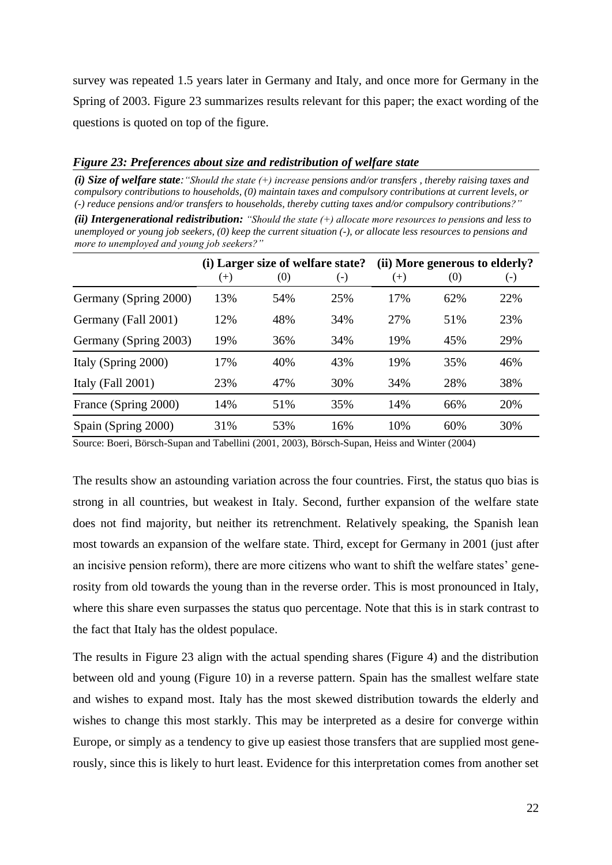survey was repeated 1.5 years later in Germany and Italy, and once more for Germany in the Spring of 2003. Figure 23 summarizes results relevant for this paper; the exact wording of the questions is quoted on top of the figure.

#### *Figure 23: Preferences about size and redistribution of welfare state*

*(i) Size of welfare state:"Should the state (+) increase pensions and/or transfers , thereby raising taxes and compulsory contributions to households, (0) maintain taxes and compulsory contributions at current levels, or (-) reduce pensions and/or transfers to households, thereby cutting taxes and/or compulsory contributions?"*

*(ii) Intergenerational redistribution: "Should the state (+) allocate more resources to pensions and less to unemployed or young job seekers, (0) keep the current situation (-), or allocate less resources to pensions and more to unemployed and young job seekers?"*

|                       |          | (i) Larger size of welfare state? |                    |       | (ii) More generous to elderly? |       |
|-----------------------|----------|-----------------------------------|--------------------|-------|--------------------------------|-------|
|                       | $^{(+)}$ | (0)                               | $(\textnormal{-})$ | $(+)$ | (0)                            | $(-)$ |
| Germany (Spring 2000) | 13%      | 54%                               | 25%                | 17%   | 62%                            | 22%   |
| Germany (Fall 2001)   | 12%      | 48%                               | 34%                | 27%   | 51%                            | 23%   |
| Germany (Spring 2003) | 19%      | 36%                               | 34%                | 19%   | 45%                            | 29%   |
| Italy (Spring 2000)   | 17%      | 40%                               | 43%                | 19%   | 35%                            | 46%   |
| Italy (Fall $2001$ )  | 23%      | 47%                               | 30%                | 34%   | 28%                            | 38%   |
| France (Spring 2000)  | 14%      | 51%                               | 35%                | 14%   | 66%                            | 20%   |
| Spain (Spring 2000)   | 31%      | 53%                               | 16%                | 10%   | 60%                            | 30%   |

Source: Boeri, Börsch-Supan and Tabellini (2001, 2003), Börsch-Supan, Heiss and Winter (2004)

The results show an astounding variation across the four countries. First, the status quo bias is strong in all countries, but weakest in Italy. Second, further expansion of the welfare state does not find majority, but neither its retrenchment. Relatively speaking, the Spanish lean most towards an expansion of the welfare state. Third, except for Germany in 2001 (just after an incisive pension reform), there are more citizens who want to shift the welfare states' generosity from old towards the young than in the reverse order. This is most pronounced in Italy, where this share even surpasses the status quo percentage. Note that this is in stark contrast to the fact that Italy has the oldest populace.

The results in Figure 23 align with the actual spending shares (Figure 4) and the distribution between old and young (Figure 10) in a reverse pattern. Spain has the smallest welfare state and wishes to expand most. Italy has the most skewed distribution towards the elderly and wishes to change this most starkly. This may be interpreted as a desire for converge within Europe, or simply as a tendency to give up easiest those transfers that are supplied most generously, since this is likely to hurt least. Evidence for this interpretation comes from another set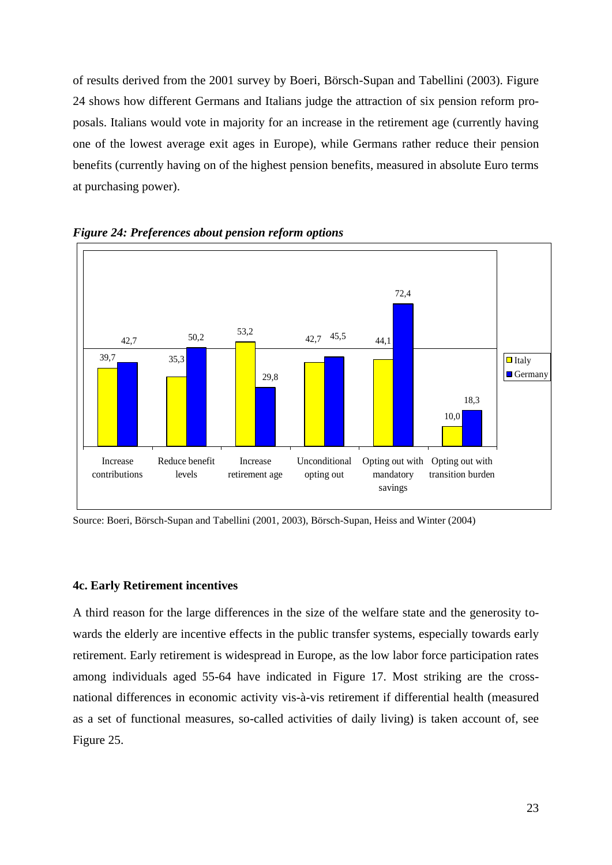of results derived from the 2001 survey by Boeri, Börsch-Supan and Tabellini (2003). Figure 24 shows how different Germans and Italians judge the attraction of six pension reform proposals. Italians would vote in majority for an increase in the retirement age (currently having one of the lowest average exit ages in Europe), while Germans rather reduce their pension benefits (currently having on of the highest pension benefits, measured in absolute Euro terms at purchasing power).



*Figure 24: Preferences about pension reform options*

Source: Boeri, Börsch-Supan and Tabellini (2001, 2003), Börsch-Supan, Heiss and Winter (2004)

#### **4c. Early Retirement incentives**

A third reason for the large differences in the size of the welfare state and the generosity towards the elderly are incentive effects in the public transfer systems, especially towards early retirement. Early retirement is widespread in Europe, as the low labor force participation rates among individuals aged 55-64 have indicated in Figure 17. Most striking are the crossnational differences in economic activity vis-à-vis retirement if differential health (measured as a set of functional measures, so-called activities of daily living) is taken account of, see Figure 25.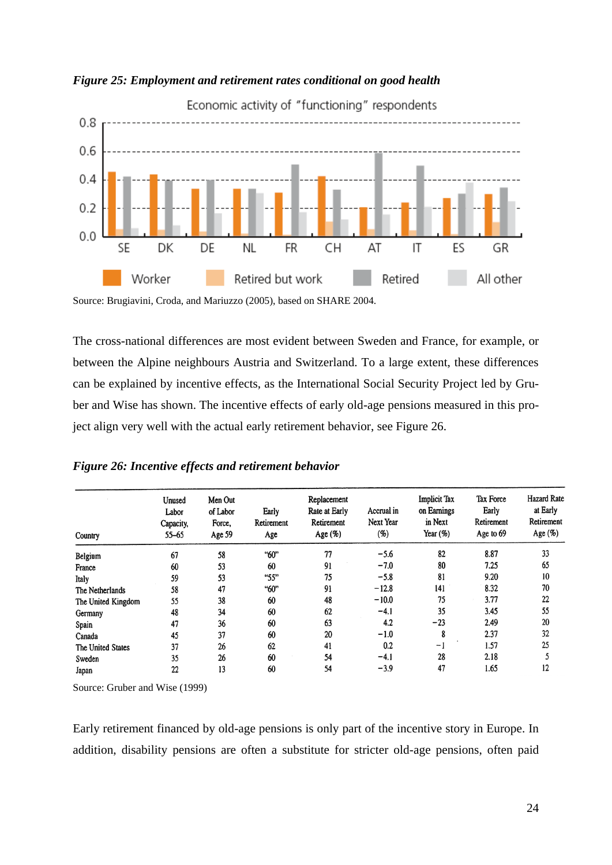

*Figure 25: Employment and retirement rates conditional on good health*

Source: Brugiavini, Croda, and Mariuzzo (2005), based on SHARE 2004.

The cross-national differences are most evident between Sweden and France, for example, or between the Alpine neighbours Austria and Switzerland. To a large extent, these differences can be explained by incentive effects, as the International Social Security Project led by Gruber and Wise has shown. The incentive effects of early old-age pensions measured in this project align very well with the actual early retirement behavior, see Figure 26.

#### *Figure 26: Incentive effects and retirement behavior*

| Country            | Unused<br>Labor<br>Capacity,<br>$55 - 65$ | Men Out<br>of Labor<br>Force,<br>Age 59 | Early<br>Retirement<br>Age | Replacement<br>Rate at Early<br>Retirement<br>Age (%) | Accrual in<br>Next Year<br>(%) | <b>Implicit Tax</b><br>on Earnings<br>in Next<br>Year (%) | <b>Tax Force</b><br>Early<br>Retirement<br>Age to 69 | <b>Hazard Rate</b><br>at Early<br>Retirement<br>Age (%) |
|--------------------|-------------------------------------------|-----------------------------------------|----------------------------|-------------------------------------------------------|--------------------------------|-----------------------------------------------------------|------------------------------------------------------|---------------------------------------------------------|
| Belgium            | 67                                        | 58                                      | "60"                       | 77                                                    | $-5.6$                         | 82                                                        | 8.87                                                 | 33                                                      |
| France             | 60                                        | 53                                      | 60                         | 91                                                    | $-7.0$                         | 80                                                        | 7.25                                                 | 65                                                      |
| Italy              | 59                                        | 53                                      | "55"                       | 75                                                    | $-5.8$                         | 81                                                        | 9.20                                                 | 10                                                      |
| The Netherlands    | 58                                        | 47                                      | "60"                       | 91                                                    | $-12.8$                        | 141                                                       | 8.32                                                 | 70                                                      |
| The United Kingdom | 55                                        | 38                                      | 60                         | 48                                                    | $-10.0$                        | 75                                                        | 3.77                                                 | 22                                                      |
| Germany            | 48                                        | 34                                      | 60                         | 62                                                    | $-4.1$                         | 35                                                        | 3.45                                                 | 55                                                      |
| Spain              | 47                                        | 36                                      | 60                         | 63                                                    | 4.2                            | $-23$                                                     | 2.49                                                 | 20                                                      |
| Canada             | 45                                        | 37                                      | 60                         | 20                                                    | $-1.0$                         | 8                                                         | 2.37                                                 | 32                                                      |
| The United States  | 37                                        | 26                                      | 62                         | 41                                                    | 0.2                            | -1                                                        | 1.57                                                 | 25                                                      |
| Sweden             | 35                                        | 26                                      | 60                         | 54                                                    | $-4.1$                         | 28                                                        | 2.18                                                 |                                                         |
| Japan              | 22                                        | 13                                      | 60                         | 54                                                    | $-3.9$                         | 47                                                        | 1.65                                                 | 12                                                      |

Source: Gruber and Wise (1999)

Early retirement financed by old-age pensions is only part of the incentive story in Europe. In addition, disability pensions are often a substitute for stricter old-age pensions, often paid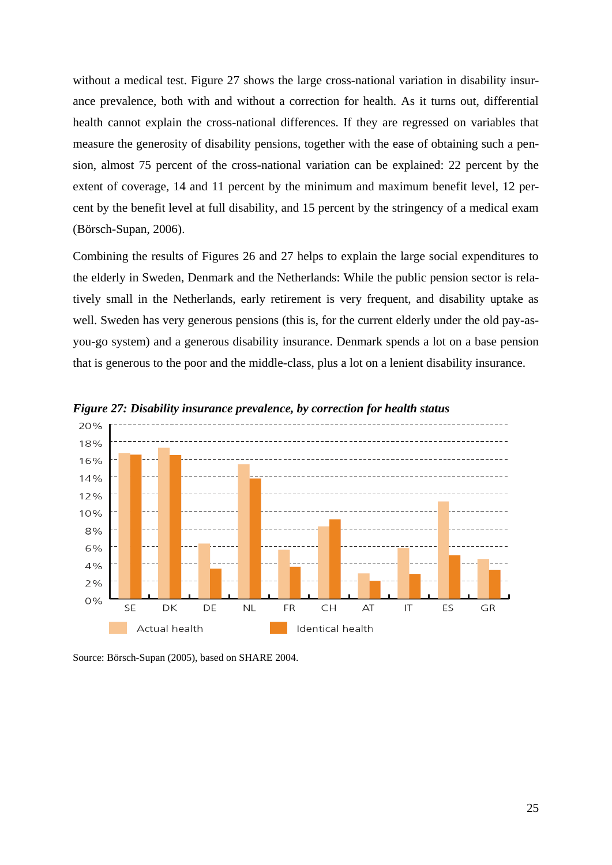without a medical test. Figure 27 shows the large cross-national variation in disability insurance prevalence, both with and without a correction for health. As it turns out, differential health cannot explain the cross-national differences. If they are regressed on variables that measure the generosity of disability pensions, together with the ease of obtaining such a pension, almost 75 percent of the cross-national variation can be explained: 22 percent by the extent of coverage, 14 and 11 percent by the minimum and maximum benefit level, 12 percent by the benefit level at full disability, and 15 percent by the stringency of a medical exam (Börsch-Supan, 2006).

Combining the results of Figures 26 and 27 helps to explain the large social expenditures to the elderly in Sweden, Denmark and the Netherlands: While the public pension sector is relatively small in the Netherlands, early retirement is very frequent, and disability uptake as well. Sweden has very generous pensions (this is, for the current elderly under the old pay-asyou-go system) and a generous disability insurance. Denmark spends a lot on a base pension that is generous to the poor and the middle-class, plus a lot on a lenient disability insurance.



*Figure 27: Disability insurance prevalence, by correction for health status*

Source: Börsch-Supan (2005), based on SHARE 2004.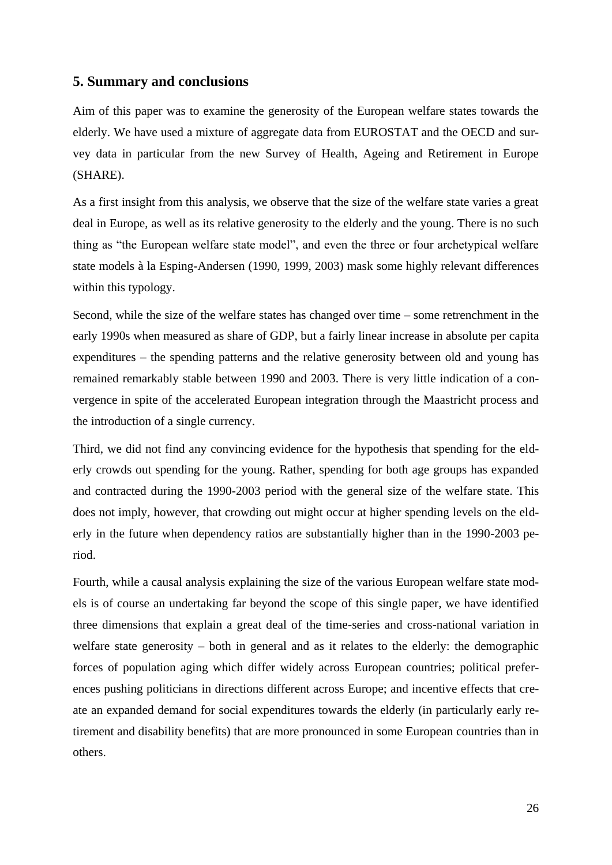#### **5. Summary and conclusions**

Aim of this paper was to examine the generosity of the European welfare states towards the elderly. We have used a mixture of aggregate data from EUROSTAT and the OECD and survey data in particular from the new Survey of Health, Ageing and Retirement in Europe (SHARE).

As a first insight from this analysis, we observe that the size of the welfare state varies a great deal in Europe, as well as its relative generosity to the elderly and the young. There is no such thing as "the European welfare state model", and even the three or four archetypical welfare state models à la Esping-Andersen (1990, 1999, 2003) mask some highly relevant differences within this typology.

Second, while the size of the welfare states has changed over time – some retrenchment in the early 1990s when measured as share of GDP, but a fairly linear increase in absolute per capita expenditures – the spending patterns and the relative generosity between old and young has remained remarkably stable between 1990 and 2003. There is very little indication of a convergence in spite of the accelerated European integration through the Maastricht process and the introduction of a single currency.

Third, we did not find any convincing evidence for the hypothesis that spending for the elderly crowds out spending for the young. Rather, spending for both age groups has expanded and contracted during the 1990-2003 period with the general size of the welfare state. This does not imply, however, that crowding out might occur at higher spending levels on the elderly in the future when dependency ratios are substantially higher than in the 1990-2003 period.

Fourth, while a causal analysis explaining the size of the various European welfare state models is of course an undertaking far beyond the scope of this single paper, we have identified three dimensions that explain a great deal of the time-series and cross-national variation in welfare state generosity – both in general and as it relates to the elderly: the demographic forces of population aging which differ widely across European countries; political preferences pushing politicians in directions different across Europe; and incentive effects that create an expanded demand for social expenditures towards the elderly (in particularly early retirement and disability benefits) that are more pronounced in some European countries than in others.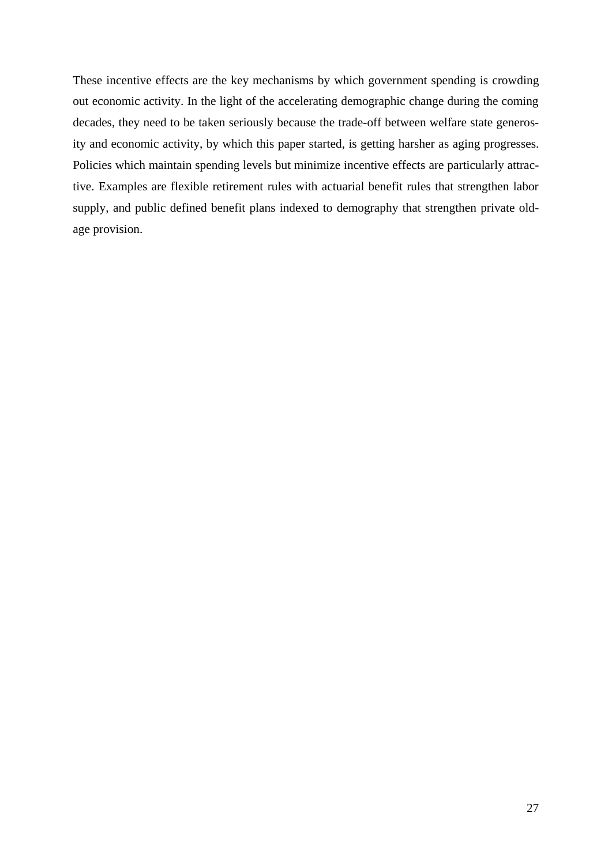These incentive effects are the key mechanisms by which government spending is crowding out economic activity. In the light of the accelerating demographic change during the coming decades, they need to be taken seriously because the trade-off between welfare state generosity and economic activity, by which this paper started, is getting harsher as aging progresses. Policies which maintain spending levels but minimize incentive effects are particularly attractive. Examples are flexible retirement rules with actuarial benefit rules that strengthen labor supply, and public defined benefit plans indexed to demography that strengthen private oldage provision.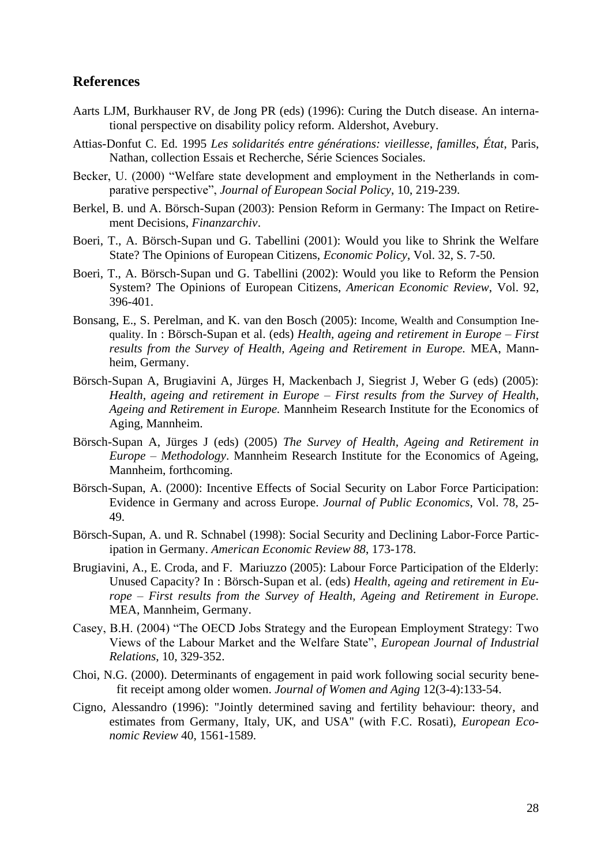#### **References**

- Aarts LJM, Burkhauser RV, de Jong PR (eds) (1996): Curing the Dutch disease. An international perspective on disability policy reform. Aldershot, Avebury.
- Attias-Donfut C. Ed. 1995 *Les solidarités entre générations: vieillesse, familles, État*, Paris, Nathan, collection Essais et Recherche, Série Sciences Sociales.
- Becker, U. (2000) "Welfare state development and employment in the Netherlands in comparative perspective", *Journal of European Social Policy*, 10, 219-239.
- Berkel, B. und A. Börsch-Supan (2003): Pension Reform in Germany: The Impact on Retirement Decisions, *Finanzarchiv*.
- Boeri, T., A. Börsch-Supan und G. Tabellini (2001): Would you like to Shrink the Welfare State? The Opinions of European Citizens, *Economic Policy*, Vol. 32, S. 7-50.
- Boeri, T., A. Börsch-Supan und G. Tabellini (2002): Would you like to Reform the Pension System? The Opinions of European Citizens, *American Economic Review*, Vol. 92, 396-401.
- Bonsang, E., S. Perelman, and K. van den Bosch (2005): Income, Wealth and Consumption Inequality. In : Börsch-Supan et al. (eds) *Health, ageing and retirement in Europe – First results from the Survey of Health, Ageing and Retirement in Europe.* MEA, Mannheim, Germany.
- Börsch-Supan A, Brugiavini A, Jürges H, Mackenbach J, Siegrist J, Weber G (eds) (2005): *Health, ageing and retirement in Europe – First results from the Survey of Health, Ageing and Retirement in Europe.* Mannheim Research Institute for the Economics of Aging, Mannheim.
- Börsch-Supan A, Jürges J (eds) (2005) *The Survey of Health, Ageing and Retirement in Europe – Methodology*. Mannheim Research Institute for the Economics of Ageing, Mannheim, forthcoming.
- Börsch-Supan, A. (2000): Incentive Effects of Social Security on Labor Force Participation: Evidence in Germany and across Europe. *Journal of Public Economics*, Vol. 78, 25- 49.
- Börsch-Supan, A. und R. Schnabel (1998): Social Security and Declining Labor-Force Participation in Germany. *American Economic Review 88*, 173-178.
- Brugiavini, A., E. Croda, and F. Mariuzzo (2005): Labour Force Participation of the Elderly: Unused Capacity? In : Börsch-Supan et al. (eds) *Health, ageing and retirement in Europe – First results from the Survey of Health, Ageing and Retirement in Europe.* MEA, Mannheim, Germany.
- Casey, B.H. (2004) "The OECD Jobs Strategy and the European Employment Strategy: Two Views of the Labour Market and the Welfare State", *European Journal of Industrial Relations*, 10, 329-352.
- Choi, N.G. (2000). Determinants of engagement in paid work following social security benefit receipt among older women. *Journal of Women and Aging* 12(3-4):133-54.
- Cigno, Alessandro (1996): "Jointly determined saving and fertility behaviour: theory, and estimates from Germany, Italy, UK, and USA" (with F.C. Rosati), *European Economic Review* 40, 1561-1589.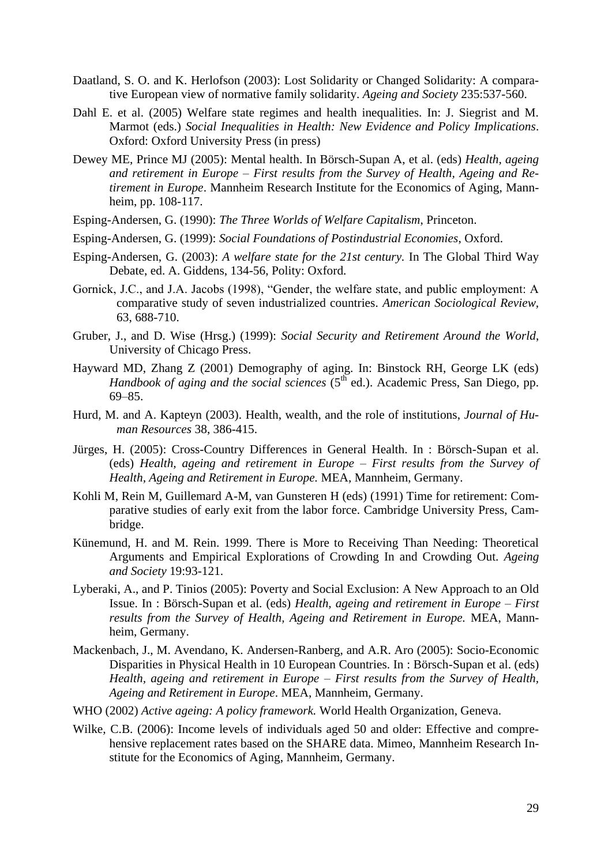- Daatland, S. O. and K. Herlofson (2003): Lost Solidarity or Changed Solidarity: A comparative European view of normative family solidarity. *Ageing and Society* 235:537-560.
- Dahl E. et al. (2005) Welfare state regimes and health inequalities. In: J. Siegrist and M. Marmot (eds.) *Social Inequalities in Health: New Evidence and Policy Implications*. Oxford: Oxford University Press (in press)
- Dewey ME, Prince MJ (2005): Mental health. In Börsch-Supan A, et al. (eds) *Health, ageing and retirement in Europe – First results from the Survey of Health, Ageing and Retirement in Europe*. Mannheim Research Institute for the Economics of Aging, Mannheim, pp. 108-117.
- Esping-Andersen, G. (1990): *The Three Worlds of Welfare Capitalism*, Princeton.
- Esping-Andersen, G. (1999): *Social Foundations of Postindustrial Economies*, Oxford.
- Esping-Andersen, G. (2003): *A welfare state for the 21st century.* In The Global Third Way Debate, ed. A. Giddens, 134-56, Polity: Oxford.
- Gornick, J.C., and J.A. Jacobs (1998), "Gender, the welfare state, and public employment: A comparative study of seven industrialized countries. *American Sociological Review,* 63, 688-710.
- Gruber, J., and D. Wise (Hrsg.) (1999): *Social Security and Retirement Around the World*, University of Chicago Press.
- Hayward MD, Zhang Z (2001) Demography of aging. In: Binstock RH, George LK (eds) Handbook of aging and the social sciences (5<sup>th</sup> ed.). Academic Press, San Diego, pp. 69–85.
- Hurd, M. and A. Kapteyn (2003). Health, wealth, and the role of institutions, *Journal of Human Resources* 38, 386-415.
- Jürges, H. (2005): Cross-Country Differences in General Health. In : Börsch-Supan et al. (eds) *Health, ageing and retirement in Europe – First results from the Survey of Health, Ageing and Retirement in Europe.* MEA, Mannheim, Germany.
- Kohli M, Rein M, Guillemard A-M, van Gunsteren H (eds) (1991) Time for retirement: Comparative studies of early exit from the labor force. Cambridge University Press, Cambridge.
- Künemund, H. and M. Rein. 1999. There is More to Receiving Than Needing: Theoretical Arguments and Empirical Explorations of Crowding In and Crowding Out. *Ageing and Society* 19:93-121.
- Lyberaki, A., and P. Tinios (2005): Poverty and Social Exclusion: A New Approach to an Old Issue. In : Börsch-Supan et al. (eds) *Health, ageing and retirement in Europe – First results from the Survey of Health, Ageing and Retirement in Europe.* MEA, Mannheim, Germany.
- Mackenbach, J., M. Avendano, K. Andersen-Ranberg, and A.R. Aro (2005): Socio-Economic Disparities in Physical Health in 10 European Countries. In : Börsch-Supan et al. (eds) *Health, ageing and retirement in Europe – First results from the Survey of Health, Ageing and Retirement in Europe*. MEA, Mannheim, Germany.
- WHO (2002) *Active ageing: A policy framework.* World Health Organization, Geneva.
- Wilke, C.B. (2006): Income levels of individuals aged 50 and older: Effective and comprehensive replacement rates based on the SHARE data. Mimeo, Mannheim Research Institute for the Economics of Aging, Mannheim, Germany.